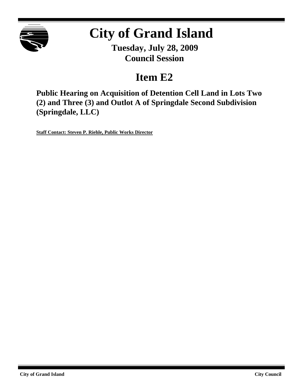

# **City of Grand Island**

**Tuesday, July 28, 2009 Council Session**

# **Item E2**

**Public Hearing on Acquisition of Detention Cell Land in Lots Two (2) and Three (3) and Outlot A of Springdale Second Subdivision (Springdale, LLC)**

**Staff Contact: Steven P. Riehle, Public Works Director**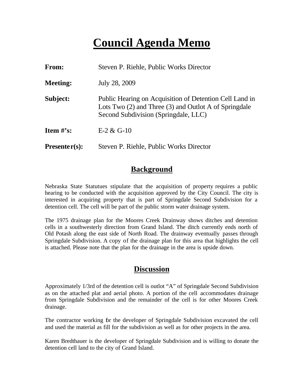## **Council Agenda Memo**

| From:           | Steven P. Riehle, Public Works Director                                                                                                                      |
|-----------------|--------------------------------------------------------------------------------------------------------------------------------------------------------------|
| <b>Meeting:</b> | July 28, 2009                                                                                                                                                |
| Subject:        | Public Hearing on Acquisition of Detention Cell Land in<br>Lots Two $(2)$ and Three $(3)$ and Outlot A of Springdale<br>Second Subdivision (Springdale, LLC) |
| Item $#$ 's:    | $E-2 & G-10$                                                                                                                                                 |
| $Presenter(s):$ | Steven P. Riehle, Public Works Director                                                                                                                      |

#### **Background**

Nebraska State Statutues stipulate that the acquisition of property requires a public hearing to be conducted with the acquisition approved by the City Council. The city is interested in acquiring property that is part of Springdale Second Subdivision for a detention cell. The cell will be part of the public storm water drainage system.

The 1975 drainage plan for the Moores Creek Drainway shows ditches and detention cells in a southwesterly direction from Grand Island. The ditch currently ends north of Old Potash along the east side of North Road. The drainway eventually passes through Springdale Subdivision. A copy of the drainage plan for this area that highlights the cell is attached. Please note that the plan for the drainage in the area is upside down.

#### **Discussion**

Approximately 1/3rd of the detention cell is outlot "A" of Springdale Second Subdivision as on the attached plat and aerial photo. A portion of the cell accommodates drainage from Springdale Subdivision and the remainder of the cell is for other Moores Creek drainage.

The contractor working for the developer of Springdale Subdivision excavated the cell and used the material as fill for the subdivision as well as for other projects in the area.

Karen Bredthauer is the developer of Springdale Subdivision and is willing to donate the detention cell land to the city of Grand Island.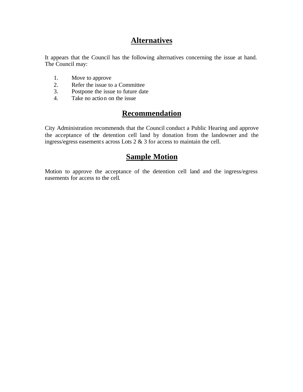### **Alternatives**

It appears that the Council has the following alternatives concerning the issue at hand. The Council may:

- 1. Move to approve
- 2. Refer the issue to a Committee<br>3. Postpone the issue to future date
- Postpone the issue to future date
- 4. Take no action on the issue

### **Recommendation**

City Administration recommends that the Council conduct a Public Hearing and approve the acceptance of the detention cell land by donation from the landowner and the ingress/egress easements across Lots 2 & 3 for access to maintain the cell.

#### **Sample Motion**

Motion to approve the acceptance of the detention cell land and the ingress/egress easements for access to the cell.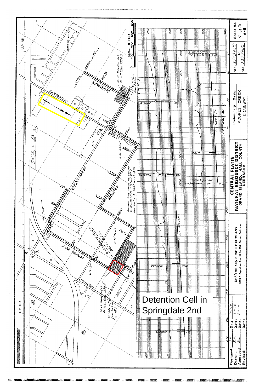

<u>real profits for the first of Model</u>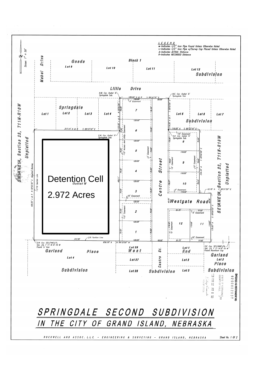

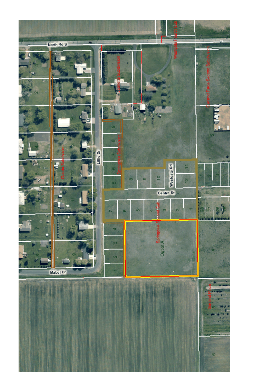